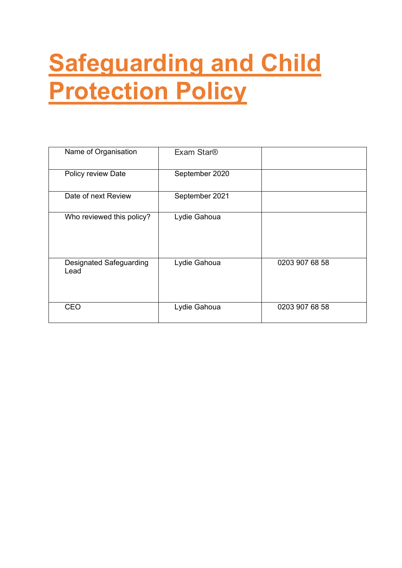# **Safeguarding and Child Protection Policy**

| Name of Organisation                   | Exam Star <sup>®</sup> |                |
|----------------------------------------|------------------------|----------------|
| Policy review Date                     | September 2020         |                |
| Date of next Review                    | September 2021         |                |
| Who reviewed this policy?              | Lydie Gahoua           |                |
| <b>Designated Safeguarding</b><br>Lead | Lydie Gahoua           | 0203 907 68 58 |
| CEO                                    | Lydie Gahoua           | 0203 907 68 58 |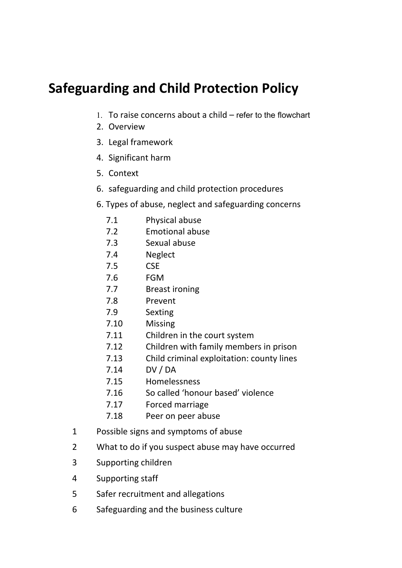# **Safeguarding and Child Protection Policy**

- 1. To raise concerns about a child refer to the flowchart
- 2. Overview
- 3. Legal framework
- 4. Significant harm
- 5. Context
- 6. safeguarding and child protection procedures
- 6. Types of abuse, neglect and safeguarding concerns
	- 7.1 Physical abuse
	- 7.2 Emotional abuse
	- 7.3 Sexual abuse
	- 7.4 Neglect
	- 7.5 CSE
	- 7.6 FGM
	- 7.7 Breast ironing
	- 7.8 Prevent
	- 7.9 Sexting
	- 7.10 Missing
	- 7.11 Children in the court system
	- 7.12 Children with family members in prison
	- 7.13 Child criminal exploitation: county lines
	- 7.14 DV / DA
	- 7.15 Homelessness
	- 7.16 So called 'honour based' violence
	- 7.17 Forced marriage
	- 7.18 Peer on peer abuse
- 1 Possible signs and symptoms of abuse
- 2 What to do if you suspect abuse may have occurred
- 3 Supporting children
- 4 Supporting staff
- 5 Safer recruitment and allegations
- 6 Safeguarding and the business culture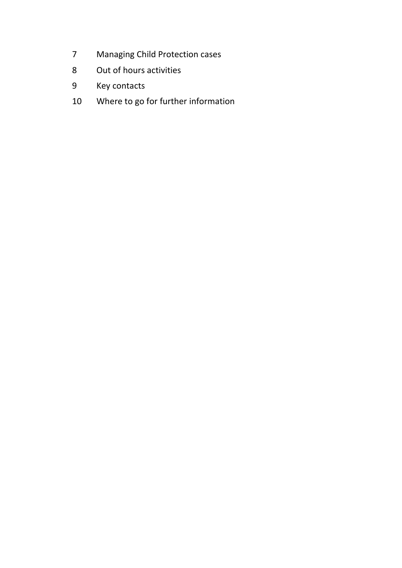- Managing Child Protection cases
- Out of hours activities
- Key contacts
- Where to go for further information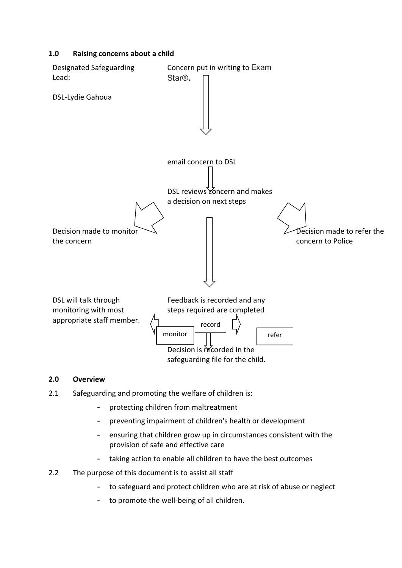# **1.0 Raising concerns about a child**



#### **2.0 Overview**

- 2.1 Safeguarding and promoting the welfare of children is:
	- protecting children from maltreatment
	- preventing impairment of children's health or development
	- ensuring that children grow up in circumstances consistent with the provision of safe and effective care
	- taking action to enable all children to have the best outcomes
- 2.2 The purpose of this document is to assist all staff
	- to safeguard and protect children who are at risk of abuse or neglect
	- to promote the well-being of all children.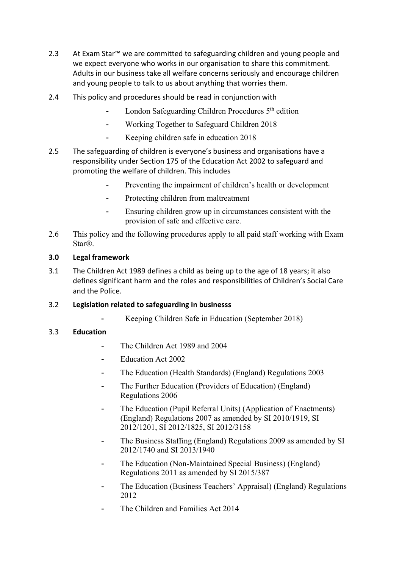- 2.3 At Exam Star™ we are committed to safeguarding children and young people and we expect everyone who works in our organisation to share this commitment. Adults in our business take all welfare concerns seriously and encourage children and young people to talk to us about anything that worries them.
- 2.4 This policy and procedures should be read in conjunction with
	- London Safeguarding Children Procedures  $5<sup>th</sup>$  edition
	- Working Together to Safeguard Children 2018
	- Keeping children safe in education 2018
- 2.5 The safeguarding of children is everyone's business and organisations have a responsibility under Section 175 of the Education Act 2002 to safeguard and promoting the welfare of children. This includes
	- Preventing the impairment of children's health or development
	- Protecting children from maltreatment
	- Ensuring children grow up in circumstances consistent with the provision of safe and effective care.
- 2.6 This policy and the following procedures apply to all paid staff working with Exam Star®.

# **3.0 Legal framework**

3.1 The Children Act 1989 defines a child as being up to the age of 18 years; it also defines significant harm and the roles and responsibilities of Children's Social Care and the Police.

# 3.2 **Legislation related to safeguarding in businesss**

Keeping Children Safe in Education (September 2018)

# 3.3 **Education**

- The Children Act 1989 and 2004
- Education Act 2002
- The Education (Health Standards) (England) Regulations 2003
- The Further Education (Providers of Education) (England) Regulations 2006
- The Education (Pupil Referral Units) (Application of Enactments) (England) Regulations 2007 as amended by SI 2010/1919, SI 2012/1201, SI 2012/1825, SI 2012/3158
- The Business Staffing (England) Regulations 2009 as amended by SI 2012/1740 and SI 2013/1940
- The Education (Non-Maintained Special Business) (England) Regulations 2011 as amended by SI 2015/387
- The Education (Business Teachers' Appraisal) (England) Regulations 2012
- The Children and Families Act 2014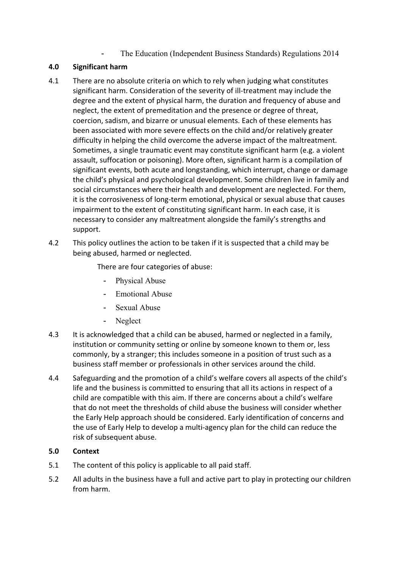The Education (Independent Business Standards) Regulations 2014

# **4.0 Significant harm**

- 4.1 There are no absolute criteria on which to rely when judging what constitutes significant harm. Consideration of the severity of ill-treatment may include the degree and the extent of physical harm, the duration and frequency of abuse and neglect, the extent of premeditation and the presence or degree of threat, coercion, sadism, and bizarre or unusual elements. Each of these elements has been associated with more severe effects on the child and/or relatively greater difficulty in helping the child overcome the adverse impact of the maltreatment. Sometimes, a single traumatic event may constitute significant harm (e.g. a violent assault, suffocation or poisoning). More often, significant harm is a compilation of significant events, both acute and longstanding, which interrupt, change or damage the child's physical and psychological development. Some children live in family and social circumstances where their health and development are neglected. For them, it is the corrosiveness of long-term emotional, physical or sexual abuse that causes impairment to the extent of constituting significant harm. In each case, it is necessary to consider any maltreatment alongside the family's strengths and support.
- 4.2 This policy outlines the action to be taken if it is suspected that a child may be being abused, harmed or neglected.

There are four categories of abuse:

- Physical Abuse
- Emotional Abuse
- Sexual Abuse
- Neglect
- 4.3 It is acknowledged that a child can be abused, harmed or neglected in a family, institution or community setting or online by someone known to them or, less commonly, by a stranger; this includes someone in a position of trust such as a business staff member or professionals in other services around the child.
- 4.4 Safeguarding and the promotion of a child's welfare covers all aspects of the child's life and the business is committed to ensuring that all its actions in respect of a child are compatible with this aim. If there are concerns about a child's welfare that do not meet the thresholds of child abuse the business will consider whether the Early Help approach should be considered. Early identification of concerns and the use of Early Help to develop a multi-agency plan for the child can reduce the risk of subsequent abuse.

# **5.0 Context**

- 5.1 The content of this policy is applicable to all paid staff.
- 5.2 All adults in the business have a full and active part to play in protecting our children from harm.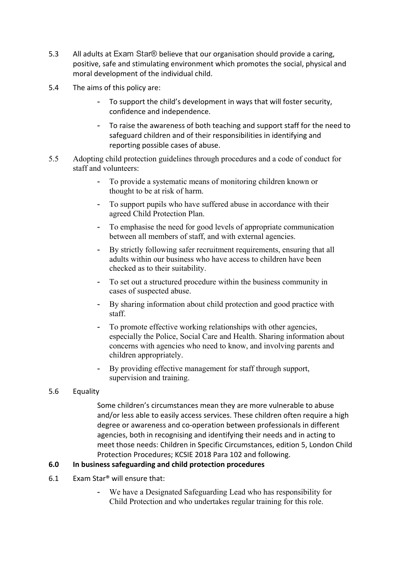- 5.3 All adults at Exam Star® believe that our organisation should provide a caring, positive, safe and stimulating environment which promotes the social, physical and moral development of the individual child.
- 5.4 The aims of this policy are:
	- To support the child's development in ways that will foster security, confidence and independence.
	- To raise the awareness of both teaching and support staff for the need to safeguard children and of their responsibilities in identifying and reporting possible cases of abuse.
- 5.5 Adopting child protection guidelines through procedures and a code of conduct for staff and volunteers:
	- To provide a systematic means of monitoring children known or thought to be at risk of harm.
	- To support pupils who have suffered abuse in accordance with their agreed Child Protection Plan.
	- To emphasise the need for good levels of appropriate communication between all members of staff, and with external agencies.
	- By strictly following safer recruitment requirements, ensuring that all adults within our business who have access to children have been checked as to their suitability.
	- To set out a structured procedure within the business community in cases of suspected abuse.
	- By sharing information about child protection and good practice with staff.
	- To promote effective working relationships with other agencies, especially the Police, Social Care and Health. Sharing information about concerns with agencies who need to know, and involving parents and children appropriately.
	- By providing effective management for staff through support, supervision and training.

# 5.6 Equality

Some children's circumstances mean they are more vulnerable to abuse and/or less able to easily access services. These children often require a high degree or awareness and co-operation between professionals in different agencies, both in recognising and identifying their needs and in acting to meet those needs: Children in Specific Circumstances, edition 5, London Child Protection Procedures; KCSIE 2018 Para 102 and following.

# **6.0 In business safeguarding and child protection procedures**

- 6.1 Exam Star® will ensure that:
	- We have a Designated Safeguarding Lead who has responsibility for Child Protection and who undertakes regular training for this role.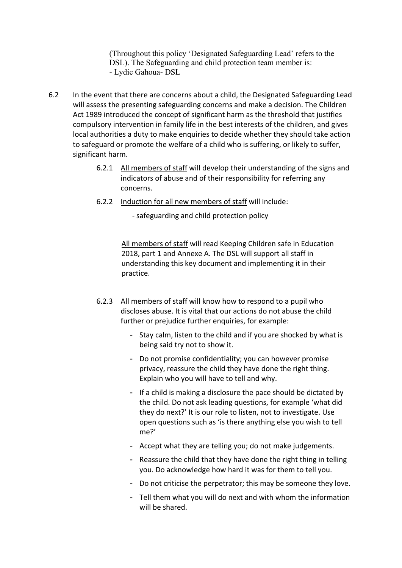(Throughout this policy 'Designated Safeguarding Lead' refers to the DSL). The Safeguarding and child protection team member is: - Lydie Gahoua- DSL

- 6.2 In the event that there are concerns about a child, the Designated Safeguarding Lead will assess the presenting safeguarding concerns and make a decision. The Children Act 1989 introduced the concept of significant harm as the threshold that justifies compulsory intervention in family life in the best interests of the children, and gives local authorities a duty to make enquiries to decide whether they should take action to safeguard or promote the welfare of a child who is suffering, or likely to suffer, significant harm.
	- 6.2.1 All members of staff will develop their understanding of the signs and indicators of abuse and of their responsibility for referring any concerns.
	- 6.2.2 Induction for all new members of staff will include:

- safeguarding and child protection policy

All members of staff will read Keeping Children safe in Education 2018, part 1 and Annexe A. The DSL will support all staff in understanding this key document and implementing it in their practice.

- 6.2.3 All members of staff will know how to respond to a pupil who discloses abuse. It is vital that our actions do not abuse the child further or prejudice further enquiries, for example:
	- Stay calm, listen to the child and if you are shocked by what is being said try not to show it.
	- Do not promise confidentiality; you can however promise privacy, reassure the child they have done the right thing. Explain who you will have to tell and why.
	- If a child is making a disclosure the pace should be dictated by the child. Do not ask leading questions, for example 'what did they do next?' It is our role to listen, not to investigate. Use open questions such as 'is there anything else you wish to tell me?'
	- Accept what they are telling you; do not make judgements.
	- Reassure the child that they have done the right thing in telling you. Do acknowledge how hard it was for them to tell you.
	- Do not criticise the perpetrator; this may be someone they love.
	- Tell them what you will do next and with whom the information will be shared.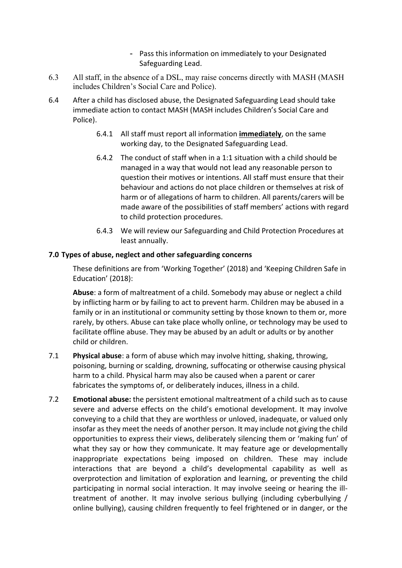- Pass this information on immediately to your Designated Safeguarding Lead.
- 6.3 All staff, in the absence of a DSL, may raise concerns directly with MASH (MASH includes Children's Social Care and Police).
- 6.4 After a child has disclosed abuse, the Designated Safeguarding Lead should take immediate action to contact MASH (MASH includes Children's Social Care and Police).
	- 6.4.1 All staff must report all information **immediately**, on the same working day, to the Designated Safeguarding Lead.
	- 6.4.2 The conduct of staff when in a 1:1 situation with a child should be managed in a way that would not lead any reasonable person to question their motives or intentions. All staff must ensure that their behaviour and actions do not place children or themselves at risk of harm or of allegations of harm to children. All parents/carers will be made aware of the possibilities of staff members' actions with regard to child protection procedures.
	- 6.4.3 We will review our Safeguarding and Child Protection Procedures at least annually.

# **7.0 Types of abuse, neglect and other safeguarding concerns**

These definitions are from 'Working Together' (2018) and 'Keeping Children Safe in Education' (2018):

**Abuse**: a form of maltreatment of a child. Somebody may abuse or neglect a child by inflicting harm or by failing to act to prevent harm. Children may be abused in a family or in an institutional or community setting by those known to them or, more rarely, by others. Abuse can take place wholly online, or technology may be used to facilitate offline abuse. They may be abused by an adult or adults or by another child or children.

- 7.1 **Physical abuse**: a form of abuse which may involve hitting, shaking, throwing, poisoning, burning or scalding, drowning, suffocating or otherwise causing physical harm to a child. Physical harm may also be caused when a parent or carer fabricates the symptoms of, or deliberately induces, illness in a child.
- 7.2 **Emotional abuse:** the persistent emotional maltreatment of a child such as to cause severe and adverse effects on the child's emotional development. It may involve conveying to a child that they are worthless or unloved, inadequate, or valued only insofar as they meet the needs of another person. It may include not giving the child opportunities to express their views, deliberately silencing them or 'making fun' of what they say or how they communicate. It may feature age or developmentally inappropriate expectations being imposed on children. These may include interactions that are beyond a child's developmental capability as well as overprotection and limitation of exploration and learning, or preventing the child participating in normal social interaction. It may involve seeing or hearing the illtreatment of another. It may involve serious bullying (including cyberbullying / online bullying), causing children frequently to feel frightened or in danger, or the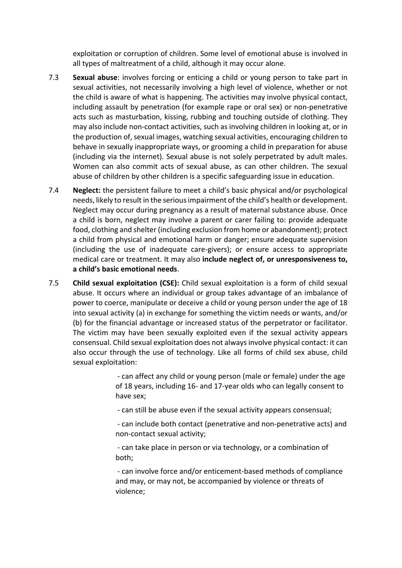exploitation or corruption of children. Some level of emotional abuse is involved in all types of maltreatment of a child, although it may occur alone.

- 7.3 **Sexual abuse**: involves forcing or enticing a child or young person to take part in sexual activities, not necessarily involving a high level of violence, whether or not the child is aware of what is happening. The activities may involve physical contact, including assault by penetration (for example rape or oral sex) or non-penetrative acts such as masturbation, kissing, rubbing and touching outside of clothing. They may also include non-contact activities, such as involving children in looking at, or in the production of, sexual images, watching sexual activities, encouraging children to behave in sexually inappropriate ways, or grooming a child in preparation for abuse (including via the internet). Sexual abuse is not solely perpetrated by adult males. Women can also commit acts of sexual abuse, as can other children. The sexual abuse of children by other children is a specific safeguarding issue in education.
- 7.4 **Neglect:** the persistent failure to meet a child's basic physical and/or psychological needs, likely to result in the serious impairment of the child's health or development. Neglect may occur during pregnancy as a result of maternal substance abuse. Once a child is born, neglect may involve a parent or carer failing to: provide adequate food, clothing and shelter (including exclusion from home or abandonment); protect a child from physical and emotional harm or danger; ensure adequate supervision (including the use of inadequate care-givers); or ensure access to appropriate medical care or treatment. It may also **include neglect of, or unresponsiveness to, a child's basic emotional needs**.
- 7.5 **Child sexual exploitation (CSE):** Child sexual exploitation is a form of child sexual abuse. It occurs where an individual or group takes advantage of an imbalance of power to coerce, manipulate or deceive a child or young person under the age of 18 into sexual activity (a) in exchange for something the victim needs or wants, and/or (b) for the financial advantage or increased status of the perpetrator or facilitator. The victim may have been sexually exploited even if the sexual activity appears consensual. Child sexual exploitation does not always involve physical contact: it can also occur through the use of technology. Like all forms of child sex abuse, child sexual exploitation:

 - can affect any child or young person (male or female) under the age of 18 years, including 16- and 17-year olds who can legally consent to have sex;

- can still be abuse even if the sexual activity appears consensual;

 - can include both contact (penetrative and non-penetrative acts) and non-contact sexual activity;

 - can take place in person or via technology, or a combination of both;

 - can involve force and/or enticement-based methods of compliance and may, or may not, be accompanied by violence or threats of violence;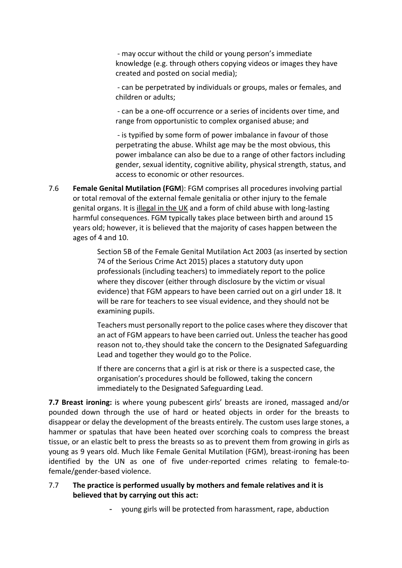- may occur without the child or young person's immediate knowledge (e.g. through others copying videos or images they have created and posted on social media);

 - can be perpetrated by individuals or groups, males or females, and children or adults;

 - can be a one-off occurrence or a series of incidents over time, and range from opportunistic to complex organised abuse; and

 - is typified by some form of power imbalance in favour of those perpetrating the abuse. Whilst age may be the most obvious, this power imbalance can also be due to a range of other factors including gender, sexual identity, cognitive ability, physical strength, status, and access to economic or other resources.

7.6 **Female Genital Mutilation (FGM**): FGM comprises all procedures involving partial or total removal of the external female genitalia or other injury to the female genital organs. It is illegal in the UK and a form of child abuse with long-lasting harmful consequences. FGM typically takes place between birth and around 15 years old; however, it is believed that the majority of cases happen between the ages of 4 and 10.

> Section 5B of the Female Genital Mutilation Act 2003 (as inserted by section 74 of the Serious Crime Act 2015) places a statutory duty upon professionals (including teachers) to immediately report to the police where they discover (either through disclosure by the victim or visual evidence) that FGM appears to have been carried out on a girl under 18. It will be rare for teachers to see visual evidence, and they should not be examining pupils.

> Teachers must personally report to the police cases where they discover that an act of FGM appears to have been carried out. Unless the teacher has good reason not to, they should take the concern to the Designated Safeguarding Lead and together they would go to the Police.

If there are concerns that a girl is at risk or there is a suspected case, the organisation's procedures should be followed, taking the concern immediately to the Designated Safeguarding Lead.

**7.7 Breast ironing:** is where young pubescent girls' breasts are ironed, massaged and/or pounded down through the use of hard or heated objects in order for the breasts to disappear or delay the development of the breasts entirely. The custom uses large stones, a hammer or spatulas that have been heated over scorching coals to compress the breast tissue, or an elastic belt to press the breasts so as to prevent them from growing in girls as young as 9 years old. Much like Female Genital Mutilation (FGM), breast-ironing has been identified by the UN as one of five under-reported crimes relating to female-tofemale/gender-based violence.

# 7.7 **The practice is performed usually by mothers and female relatives and it is believed that by carrying out this act:**

- young girls will be protected from harassment, rape, abduction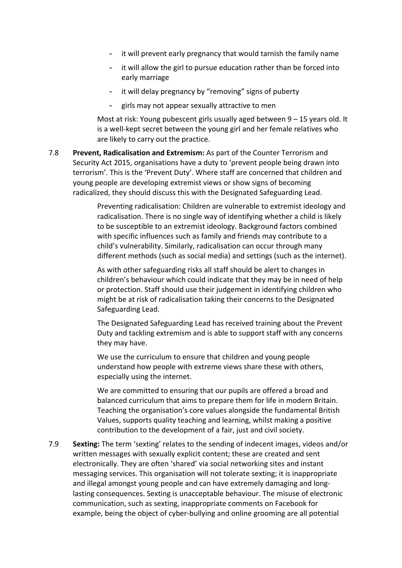- it will prevent early pregnancy that would tarnish the family name
- it will allow the girl to pursue education rather than be forced into early marriage
- it will delay pregnancy by "removing" signs of puberty
- girls may not appear sexually attractive to men

Most at risk: Young pubescent girls usually aged between 9 – 15 years old. It is a well-kept secret between the young girl and her female relatives who are likely to carry out the practice.

7.8 **Prevent, Radicalisation and Extremism:** As part of the Counter Terrorism and Security Act 2015, organisations have a duty to 'prevent people being drawn into terrorism'. This is the 'Prevent Duty'. Where staff are concerned that children and young people are developing extremist views or show signs of becoming radicalized, they should discuss this with the Designated Safeguarding Lead.

> Preventing radicalisation: Children are vulnerable to extremist ideology and radicalisation. There is no single way of identifying whether a child is likely to be susceptible to an extremist ideology. Background factors combined with specific influences such as family and friends may contribute to a child's vulnerability. Similarly, radicalisation can occur through many different methods (such as social media) and settings (such as the internet).

As with other safeguarding risks all staff should be alert to changes in children's behaviour which could indicate that they may be in need of help or protection. Staff should use their judgement in identifying children who might be at risk of radicalisation taking their concerns to the Designated Safeguarding Lead.

The Designated Safeguarding Lead has received training about the Prevent Duty and tackling extremism and is able to support staff with any concerns they may have.

We use the curriculum to ensure that children and young people understand how people with extreme views share these with others, especially using the internet.

We are committed to ensuring that our pupils are offered a broad and balanced curriculum that aims to prepare them for life in modern Britain. Teaching the organisation's core values alongside the fundamental British Values, supports quality teaching and learning, whilst making a positive contribution to the development of a fair, just and civil society.

7.9 **Sexting:** The term 'sexting' relates to the sending of indecent images, videos and/or written messages with sexually explicit content; these are created and sent electronically. They are often 'shared' via social networking sites and instant messaging services. This organisation will not tolerate sexting; it is inappropriate and illegal amongst young people and can have extremely damaging and longlasting consequences. Sexting is unacceptable behaviour. The misuse of electronic communication, such as sexting, inappropriate comments on Facebook for example, being the object of cyber-bullying and online grooming are all potential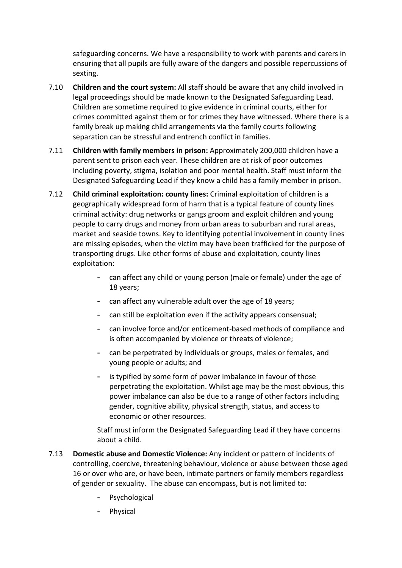safeguarding concerns. We have a responsibility to work with parents and carers in ensuring that all pupils are fully aware of the dangers and possible repercussions of sexting.

- 7.10 **Children and the court system:** All staff should be aware that any child involved in legal proceedings should be made known to the Designated Safeguarding Lead. Children are sometime required to give evidence in criminal courts, either for crimes committed against them or for crimes they have witnessed. Where there is a family break up making child arrangements via the family courts following separation can be stressful and entrench conflict in families.
- 7.11 **Children with family members in prison:** Approximately 200,000 children have a parent sent to prison each year. These children are at risk of poor outcomes including poverty, stigma, isolation and poor mental health. Staff must inform the Designated Safeguarding Lead if they know a child has a family member in prison.
- 7.12 **Child criminal exploitation: county lines:** Criminal exploitation of children is a geographically widespread form of harm that is a typical feature of county lines criminal activity: drug networks or gangs groom and exploit children and young people to carry drugs and money from urban areas to suburban and rural areas, market and seaside towns. Key to identifying potential involvement in county lines are missing episodes, when the victim may have been trafficked for the purpose of transporting drugs. Like other forms of abuse and exploitation, county lines exploitation:
	- can affect any child or young person (male or female) under the age of 18 years;
	- can affect any vulnerable adult over the age of 18 years;
	- can still be exploitation even if the activity appears consensual;
	- can involve force and/or enticement-based methods of compliance and is often accompanied by violence or threats of violence;
	- can be perpetrated by individuals or groups, males or females, and young people or adults; and
	- is typified by some form of power imbalance in favour of those perpetrating the exploitation. Whilst age may be the most obvious, this power imbalance can also be due to a range of other factors including gender, cognitive ability, physical strength, status, and access to economic or other resources.

Staff must inform the Designated Safeguarding Lead if they have concerns about a child.

- 7.13 **Domestic abuse and Domestic Violence:** Any incident or pattern of incidents of controlling, coercive, threatening behaviour, violence or abuse between those aged 16 or over who are, or have been, intimate partners or family members regardless of gender or sexuality. The abuse can encompass, but is not limited to:
	- Psychological
	- Physical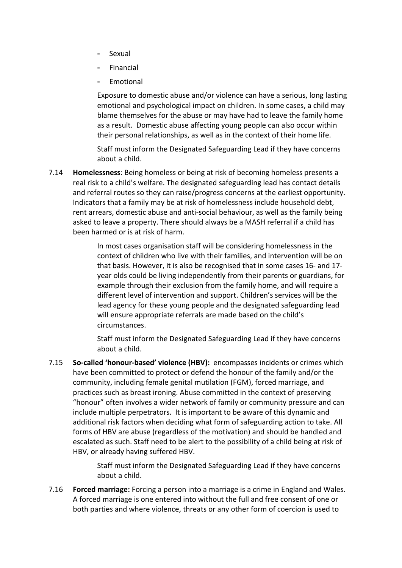- Sexual
- **Financial**
- **Emotional**

Exposure to domestic abuse and/or violence can have a serious, long lasting emotional and psychological impact on children. In some cases, a child may blame themselves for the abuse or may have had to leave the family home as a result. Domestic abuse affecting young people can also occur within their personal relationships, as well as in the context of their home life.

Staff must inform the Designated Safeguarding Lead if they have concerns about a child.

7.14 **Homelessness**: Being homeless or being at risk of becoming homeless presents a real risk to a child's welfare. The designated safeguarding lead has contact details and referral routes so they can raise/progress concerns at the earliest opportunity. Indicators that a family may be at risk of homelessness include household debt, rent arrears, domestic abuse and anti-social behaviour, as well as the family being asked to leave a property. There should always be a MASH referral if a child has been harmed or is at risk of harm.

> In most cases organisation staff will be considering homelessness in the context of children who live with their families, and intervention will be on that basis. However, it is also be recognised that in some cases 16- and 17 year olds could be living independently from their parents or guardians, for example through their exclusion from the family home, and will require a different level of intervention and support. Children's services will be the lead agency for these young people and the designated safeguarding lead will ensure appropriate referrals are made based on the child's circumstances.

Staff must inform the Designated Safeguarding Lead if they have concerns about a child.

7.15 **So-called 'honour-based' violence (HBV):** encompasses incidents or crimes which have been committed to protect or defend the honour of the family and/or the community, including female genital mutilation (FGM), forced marriage, and practices such as breast ironing. Abuse committed in the context of preserving "honour" often involves a wider network of family or community pressure and can include multiple perpetrators. It is important to be aware of this dynamic and additional risk factors when deciding what form of safeguarding action to take. All forms of HBV are abuse (regardless of the motivation) and should be handled and escalated as such. Staff need to be alert to the possibility of a child being at risk of HBV, or already having suffered HBV.

> Staff must inform the Designated Safeguarding Lead if they have concerns about a child.

7.16 **Forced marriage:** Forcing a person into a marriage is a crime in England and Wales. A forced marriage is one entered into without the full and free consent of one or both parties and where violence, threats or any other form of coercion is used to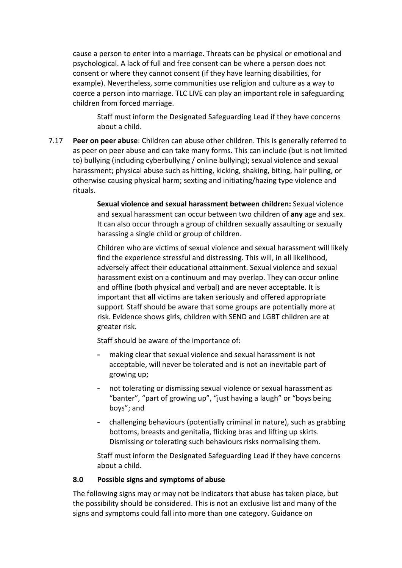cause a person to enter into a marriage. Threats can be physical or emotional and psychological. A lack of full and free consent can be where a person does not consent or where they cannot consent (if they have learning disabilities, for example). Nevertheless, some communities use religion and culture as a way to coerce a person into marriage. TLC LIVE can play an important role in safeguarding children from forced marriage.

Staff must inform the Designated Safeguarding Lead if they have concerns about a child.

7.17 **Peer on peer abuse**: Children can abuse other children. This is generally referred to as peer on peer abuse and can take many forms. This can include (but is not limited to) bullying (including cyberbullying / online bullying); sexual violence and sexual harassment; physical abuse such as hitting, kicking, shaking, biting, hair pulling, or otherwise causing physical harm; sexting and initiating/hazing type violence and rituals.

> **Sexual violence and sexual harassment between children:** Sexual violence and sexual harassment can occur between two children of **any** age and sex. It can also occur through a group of children sexually assaulting or sexually harassing a single child or group of children.

Children who are victims of sexual violence and sexual harassment will likely find the experience stressful and distressing. This will, in all likelihood, adversely affect their educational attainment. Sexual violence and sexual harassment exist on a continuum and may overlap. They can occur online and offline (both physical and verbal) and are never acceptable. It is important that **all** victims are taken seriously and offered appropriate support. Staff should be aware that some groups are potentially more at risk. Evidence shows girls, children with SEND and LGBT children are at greater risk.

Staff should be aware of the importance of:

- making clear that sexual violence and sexual harassment is not acceptable, will never be tolerated and is not an inevitable part of growing up;
- not tolerating or dismissing sexual violence or sexual harassment as "banter", "part of growing up", "just having a laugh" or "boys being boys"; and
- challenging behaviours (potentially criminal in nature), such as grabbing bottoms, breasts and genitalia, flicking bras and lifting up skirts. Dismissing or tolerating such behaviours risks normalising them.

Staff must inform the Designated Safeguarding Lead if they have concerns about a child.

# **8.0 Possible signs and symptoms of abuse**

The following signs may or may not be indicators that abuse has taken place, but the possibility should be considered. This is not an exclusive list and many of the signs and symptoms could fall into more than one category. Guidance on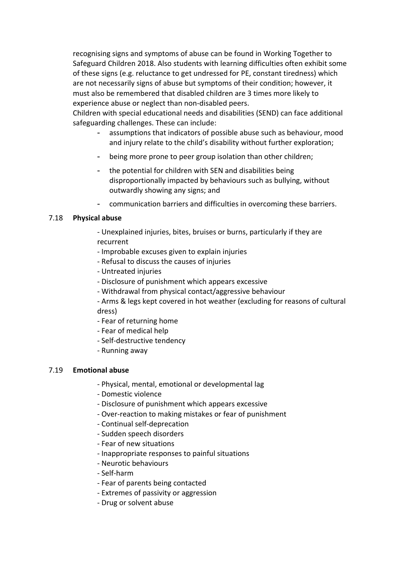recognising signs and symptoms of abuse can be found in Working Together to Safeguard Children 2018. Also students with learning difficulties often exhibit some of these signs (e.g. reluctance to get undressed for PE, constant tiredness) which are not necessarily signs of abuse but symptoms of their condition; however, it must also be remembered that disabled children are 3 times more likely to experience abuse or neglect than non-disabled peers.

Children with special educational needs and disabilities (SEND) can face additional safeguarding challenges. These can include:

- assumptions that indicators of possible abuse such as behaviour, mood and injury relate to the child's disability without further exploration;
- being more prone to peer group isolation than other children;
- the potential for children with SEN and disabilities being disproportionally impacted by behaviours such as bullying, without outwardly showing any signs; and
- communication barriers and difficulties in overcoming these barriers.

# 7.18 **Physical abuse**

- Unexplained injuries, bites, bruises or burns, particularly if they are recurrent

- Improbable excuses given to explain injuries
- Refusal to discuss the causes of injuries
- Untreated injuries
- Disclosure of punishment which appears excessive
- Withdrawal from physical contact/aggressive behaviour
- Arms & legs kept covered in hot weather (excluding for reasons of cultural dress)
- Fear of returning home
- Fear of medical help
- Self-destructive tendency
- Running away

#### 7.19 **Emotional abuse**

- Physical, mental, emotional or developmental lag
- Domestic violence
- Disclosure of punishment which appears excessive
- Over-reaction to making mistakes or fear of punishment
- Continual self-deprecation
- Sudden speech disorders
- Fear of new situations
- Inappropriate responses to painful situations
- Neurotic behaviours
- Self-harm
- Fear of parents being contacted
- Extremes of passivity or aggression
- Drug or solvent abuse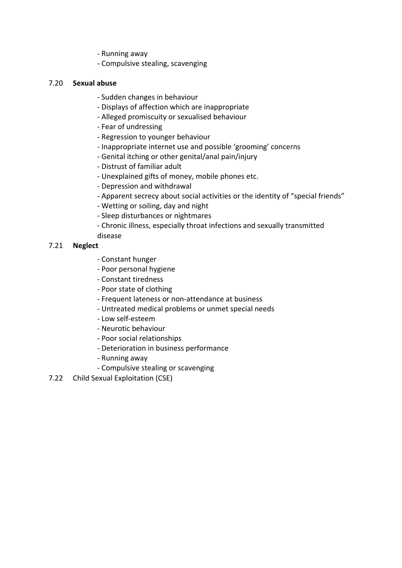- Running away
- Compulsive stealing, scavenging

# 7.20 **Sexual abuse**

- Sudden changes in behaviour
- Displays of affection which are inappropriate
- Alleged promiscuity or sexualised behaviour
- Fear of undressing
- Regression to younger behaviour
- Inappropriate internet use and possible 'grooming' concerns
- Genital itching or other genital/anal pain/injury
- Distrust of familiar adult
- Unexplained gifts of money, mobile phones etc.
- Depression and withdrawal
- Apparent secrecy about social activities or the identity of "special friends"
- Wetting or soiling, day and night
- Sleep disturbances or nightmares
- Chronic illness, especially throat infections and sexually transmitted
- disease

# 7.21 **Neglect**

- Constant hunger
- Poor personal hygiene
- Constant tiredness
- Poor state of clothing
- Frequent lateness or non-attendance at business
- Untreated medical problems or unmet special needs
- Low self-esteem
- Neurotic behaviour
- Poor social relationships
- Deterioration in business performance
- Running away
- Compulsive stealing or scavenging
- 7.22 Child Sexual Exploitation (CSE)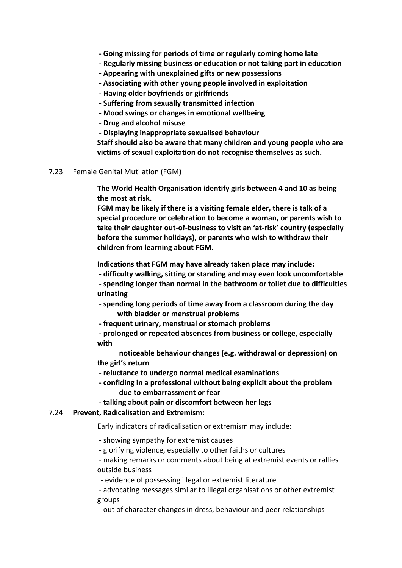- **Going missing for periods of time or regularly coming home late**
- **Regularly missing business or education or not taking part in education**
- **Appearing with unexplained gifts or new possessions**
- **Associating with other young people involved in exploitation**
- **Having older boyfriends or girlfriends**
- **Suffering from sexually transmitted infection**
- **Mood swings or changes in emotional wellbeing**
- **Drug and alcohol misuse**
- **Displaying inappropriate sexualised behaviour**

**Staff should also be aware that many children and young people who are victims of sexual exploitation do not recognise themselves as such.**

#### 7.23 Female Genital Mutilation (FGM**)**

**The World Health Organisation identify girls between 4 and 10 as being the most at risk.**

**FGM may be likely if there is a visiting female elder, there is talk of a special procedure or celebration to become a woman, or parents wish to take their daughter out-of-business to visit an 'at-risk' country (especially before the summer holidays), or parents who wish to withdraw their children from learning about FGM.** 

**Indications that FGM may have already taken place may include:**

 **- difficulty walking, sitting or standing and may even look uncomfortable - spending longer than normal in the bathroom or toilet due to difficulties urinating**

- **spending long periods of time away from a classroom during the day with bladder or menstrual problems**
- **frequent urinary, menstrual or stomach problems**
- **prolonged or repeated absences from business or college, especially with**

 **noticeable behaviour changes (e.g. withdrawal or depression) on the girl's return**

- **reluctance to undergo normal medical examinations**
- **confiding in a professional without being explicit about the problem due to embarrassment or fear**
- **talking about pain or discomfort between her legs**

#### 7.24 **Prevent, Radicalisation and Extremism:**

Early indicators of radicalisation or extremism may include:

- showing sympathy for extremist causes
- glorifying violence, especially to other faiths or cultures
- making remarks or comments about being at extremist events or rallies outside business
- evidence of possessing illegal or extremist literature
- advocating messages similar to illegal organisations or other extremist groups
- out of character changes in dress, behaviour and peer relationships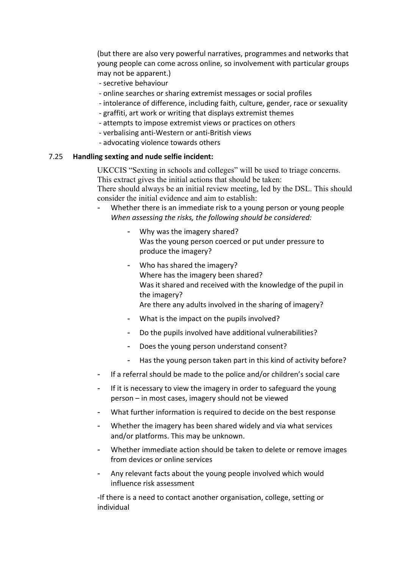(but there are also very powerful narratives, programmes and networks that young people can come across online, so involvement with particular groups may not be apparent.)

- secretive behaviour
- online searches or sharing extremist messages or social profiles
- intolerance of difference, including faith, culture, gender, race or sexuality
- graffiti, art work or writing that displays extremist themes
- attempts to impose extremist views or practices on others
- verbalising anti-Western or anti-British views
- advocating violence towards others

#### 7.25 **Handling sexting and nude selfie incident:**

UKCCIS "Sexting in schools and colleges" will be used to triage concerns. This extract gives the initial actions that should be taken: There should always be an initial review meeting, led by the DSL. This should consider the initial evidence and aim to establish:

- Whether there is an immediate risk to a young person or young people *When assessing the risks, the following should be considered:* 
	- Why was the imagery shared? Was the young person coerced or put under pressure to produce the imagery?
	- Who has shared the imagery? Where has the imagery been shared? Was it shared and received with the knowledge of the pupil in the imagery?
		- Are there any adults involved in the sharing of imagery?
	- What is the impact on the pupils involved?
	- Do the pupils involved have additional vulnerabilities?
	- Does the young person understand consent?
	- Has the young person taken part in this kind of activity before?
- If a referral should be made to the police and/or children's social care
- If it is necessary to view the imagery in order to safeguard the young person – in most cases, imagery should not be viewed
- What further information is required to decide on the best response
- Whether the imagery has been shared widely and via what services and/or platforms. This may be unknown.
- Whether immediate action should be taken to delete or remove images from devices or online services
- Any relevant facts about the young people involved which would influence risk assessment

-If there is a need to contact another organisation, college, setting or individual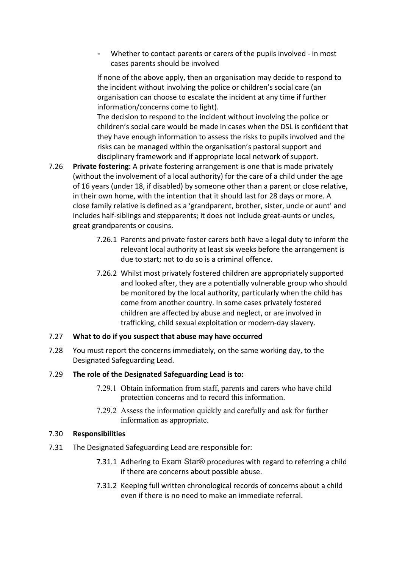Whether to contact parents or carers of the pupils involved - in most cases parents should be involved

If none of the above apply, then an organisation may decide to respond to the incident without involving the police or children's social care (an organisation can choose to escalate the incident at any time if further information/concerns come to light).

The decision to respond to the incident without involving the police or children's social care would be made in cases when the DSL is confident that they have enough information to assess the risks to pupils involved and the risks can be managed within the organisation's pastoral support and disciplinary framework and if appropriate local network of support.

- 7.26 **Private fostering:** A private fostering arrangement is one that is made privately (without the involvement of a local authority) for the care of a child under the age of 16 years (under 18, if disabled) by someone other than a parent or close relative, in their own home, with the intention that it should last for 28 days or more. A close family relative is defined as a 'grandparent, brother, sister, uncle or aunt' and includes half-siblings and stepparents; it does not include great-aunts or uncles, great grandparents or cousins.
	- 7.26.1 Parents and private foster carers both have a legal duty to inform the relevant local authority at least six weeks before the arrangement is due to start; not to do so is a criminal offence.
	- 7.26.2 Whilst most privately fostered children are appropriately supported and looked after, they are a potentially vulnerable group who should be monitored by the local authority, particularly when the child has come from another country. In some cases privately fostered children are affected by abuse and neglect, or are involved in trafficking, child sexual exploitation or modern-day slavery.

# 7.27 **What to do if you suspect that abuse may have occurred**

7.28 You must report the concerns immediately, on the same working day, to the Designated Safeguarding Lead.

# 7.29 **The role of the Designated Safeguarding Lead is to:**

- 7.29.1 Obtain information from staff, parents and carers who have child protection concerns and to record this information.
- 7.29.2 Assess the information quickly and carefully and ask for further information as appropriate.

#### 7.30 **Responsibilities**

- 7.31 The Designated Safeguarding Lead are responsible for:
	- 7.31.1 Adhering to Exam Star® procedures with regard to referring a child if there are concerns about possible abuse.
	- 7.31.2 Keeping full written chronological records of concerns about a child even if there is no need to make an immediate referral.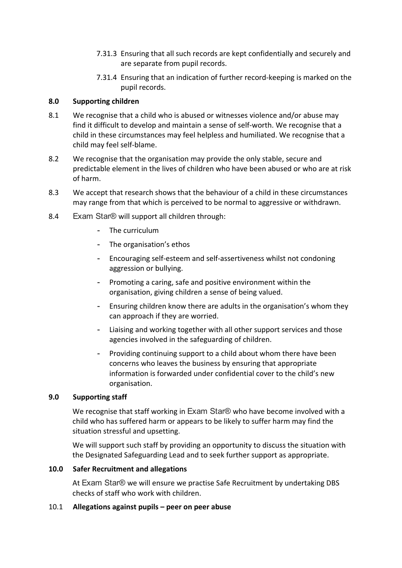- 7.31.3 Ensuring that all such records are kept confidentially and securely and are separate from pupil records.
- 7.31.4 Ensuring that an indication of further record-keeping is marked on the pupil records.

# **8.0 Supporting children**

- 8.1 We recognise that a child who is abused or witnesses violence and/or abuse may find it difficult to develop and maintain a sense of self-worth. We recognise that a child in these circumstances may feel helpless and humiliated. We recognise that a child may feel self-blame.
- 8.2 We recognise that the organisation may provide the only stable, secure and predictable element in the lives of children who have been abused or who are at risk of harm.
- 8.3 We accept that research shows that the behaviour of a child in these circumstances may range from that which is perceived to be normal to aggressive or withdrawn.
- 8.4 Exam Star® will support all children through:
	- The curriculum
	- The organisation's ethos
	- Encouraging self-esteem and self-assertiveness whilst not condoning aggression or bullying.
	- Promoting a caring, safe and positive environment within the organisation, giving children a sense of being valued.
	- Ensuring children know there are adults in the organisation's whom they can approach if they are worried.
	- Liaising and working together with all other support services and those agencies involved in the safeguarding of children.
	- Providing continuing support to a child about whom there have been concerns who leaves the business by ensuring that appropriate information is forwarded under confidential cover to the child's new organisation.

#### **9.0 Supporting staff**

We recognise that staff working in Exam Star® who have become involved with a child who has suffered harm or appears to be likely to suffer harm may find the situation stressful and upsetting.

We will support such staff by providing an opportunity to discuss the situation with the Designated Safeguarding Lead and to seek further support as appropriate.

#### **10.0 Safer Recruitment and allegations**

At Exam Star® we will ensure we practise Safe Recruitment by undertaking DBS checks of staff who work with children.

#### 10.1 **Allegations against pupils – peer on peer abuse**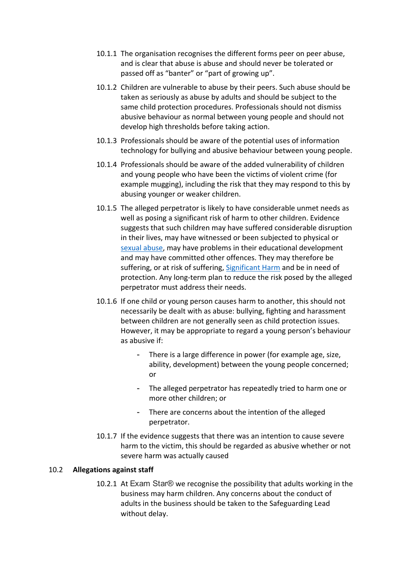- 10.1.1 The organisation recognises the different forms peer on peer abuse, and is clear that abuse is abuse and should never be tolerated or passed off as "banter" or "part of growing up".
- 10.1.2 Children are vulnerable to abuse by their peers. Such abuse should be taken as seriously as abuse by adults and should be subject to the same child protection procedures. Professionals should not dismiss abusive behaviour as normal between young people and should not develop high thresholds before taking action.
- 10.1.3 Professionals should be aware of the potential uses of information technology for bullying and abusive behaviour between young people.
- 10.1.4 Professionals should be aware of the added vulnerability of children and young people who have been the victims of violent crime (for example mugging), including the risk that they may respond to this by abusing younger or weaker children.
- 10.1.5 The alleged perpetrator is likely to have considerable unmet needs as well as posing a significant risk of harm to other children. Evidence suggests that such children may have suffered considerable disruption in their lives, may have witnessed or been subjected to physical or [sexual abuse,](http://trixresources.proceduresonline.com/nat_key/keywords/sexual_abuse.html) may have problems in their educational development and may have committed other offences. They may therefore be suffering, or at risk of suffering, [Significant Harm](http://trixresources.proceduresonline.com/nat_key/keywords/significant_harm.html) and be in need of protection. Any long-term plan to reduce the risk posed by the alleged perpetrator must address their needs.
- 10.1.6 If one child or young person causes harm to another, this should not necessarily be dealt with as abuse: bullying, fighting and harassment between children are not generally seen as child protection issues. However, it may be appropriate to regard a young person's behaviour as abusive if:
	- There is a large difference in power (for example age, size, ability, development) between the young people concerned; or
	- The alleged perpetrator has repeatedly tried to harm one or more other children; or
	- There are concerns about the intention of the alleged perpetrator.
- 10.1.7 If the evidence suggests that there was an intention to cause severe harm to the victim, this should be regarded as abusive whether or not severe harm was actually caused

#### 10.2 **Allegations against staff**

10.2.1 At Exam Star® we recognise the possibility that adults working in the business may harm children. Any concerns about the conduct of adults in the business should be taken to the Safeguarding Lead without delay.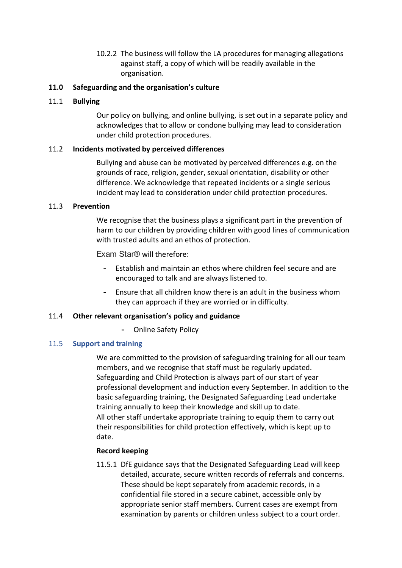10.2.2 The business will follow the LA procedures for managing allegations against staff, a copy of which will be readily available in the organisation.

# **11.0 Safeguarding and the organisation's culture**

#### 11.1 **Bullying**

Our policy on bullying, and online bullying, is set out in a separate policy and acknowledges that to allow or condone bullying may lead to consideration under child protection procedures.

# 11.2 **Incidents motivated by perceived differences**

Bullying and abuse can be motivated by perceived differences e.g. on the grounds of race, religion, gender, sexual orientation, disability or other difference. We acknowledge that repeated incidents or a single serious incident may lead to consideration under child protection procedures.

#### 11.3 **Prevention**

We recognise that the business plays a significant part in the prevention of harm to our children by providing children with good lines of communication with trusted adults and an ethos of protection.

Exam Star® will therefore:

- Establish and maintain an ethos where children feel secure and are encouraged to talk and are always listened to.
- Ensure that all children know there is an adult in the business whom they can approach if they are worried or in difficulty.

#### 11.4 **Other relevant organisation's policy and guidance**

- Online Safety Policy

#### 11.5 **Support and training**

We are committed to the provision of safeguarding training for all our team members, and we recognise that staff must be regularly updated. Safeguarding and Child Protection is always part of our start of year professional development and induction every September. In addition to the basic safeguarding training, the Designated Safeguarding Lead undertake training annually to keep their knowledge and skill up to date. All other staff undertake appropriate training to equip them to carry out their responsibilities for child protection effectively, which is kept up to date.

#### **Record keeping**

11.5.1 DfE guidance says that the Designated Safeguarding Lead will keep detailed, accurate, secure written records of referrals and concerns. These should be kept separately from academic records, in a confidential file stored in a secure cabinet, accessible only by appropriate senior staff members. Current cases are exempt from examination by parents or children unless subject to a court order.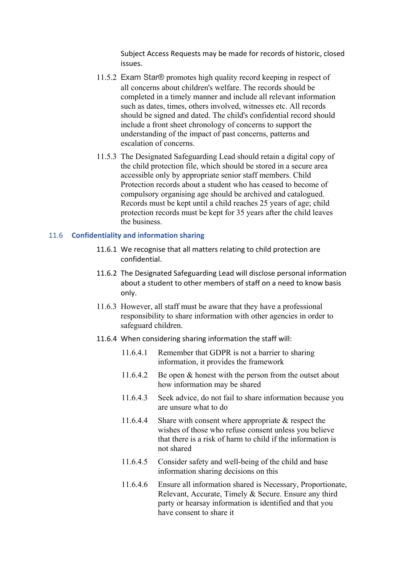Subject Access Requests may be made for records of historic, closed issues.

- 11.5.2 Exam Star® promotes high quality record keeping in respect of all concerns about children's welfare. The records should be completed in a timely manner and include all relevant information such as dates, times, others involved, witnesses etc. All records should be signed and dated. The child's confidential record should include a front sheet chronology of concerns to support the understanding of the impact of past concerns, patterns and escalation of concerns.
- 11.5.3 The Designated Safeguarding Lead should retain a digital copy of the child protection file, which should be stored in a secure area accessible only by appropriate senior staff members. Child Protection records about a student who has ceased to become of compulsory organising age should be archived and catalogued. Records must be kept until a child reaches 25 years of age; child protection records must be kept for 35 years after the child leaves the business.

#### 11.6 **Confidentiality and information sharing**

- 11.6.1 We recognise that all matters relating to child protection are confidential.
- 11.6.2 The Designated Safeguarding Lead will disclose personal information about a student to other members of staff on a need to know basis only.
- 11.6.3 However, all staff must be aware that they have a professional responsibility to share information with other agencies in order to safeguard children.
- 11.6.4 When considering sharing information the staff will:
	- 11.6.4.1 Remember that GDPR is not a barrier to sharing information, it provides the framework
	- 11.6.4.2 Be open & honest with the person from the outset about how information may be shared
	- 11.6.4.3 Seek advice, do not fail to share information because you are unsure what to do
	- 11.6.4.4 Share with consent where appropriate & respect the wishes of those who refuse consent unless you believe that there is a risk of harm to child if the information is not shared
	- 11.6.4.5 Consider safety and well-being of the child and base information sharing decisions on this
	- 11.6.4.6 Ensure all information shared is Necessary, Proportionate, Relevant, Accurate, Timely & Secure. Ensure any third party or hearsay information is identified and that you have consent to share it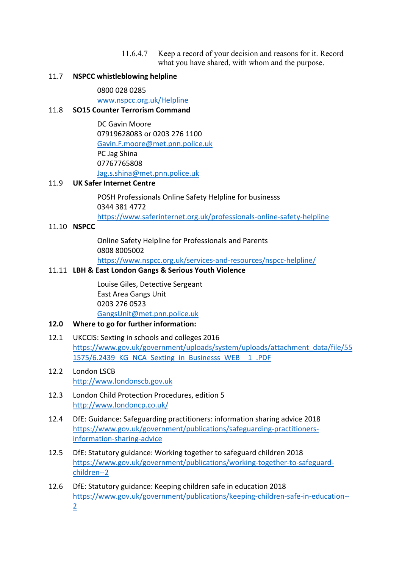11.6.4.7 Keep a record of your decision and reasons for it. Record what you have shared, with whom and the purpose.

# 11.7 **NSPCC whistleblowing helpline**

0800 028 0285

[www.nspcc.org.uk/Helpline](http://www.nspcc.org.uk/Helpline)

#### 11.8 **SO15 Counter Terrorism Command**

DC Gavin Moore 07919628083 or 0203 276 1100 [Gavin.F.moore@met.pnn.police.uk](mailto:Gavin.F.moore@met.pnn.police.uk)  PC Jag Shina 07767765808 [Jag.s.shina@met.pnn.police.uk](mailto:Jag.s.shina@met.pnn.police.uk) 

#### 11.9 **UK Safer Internet Centre**

POSH Professionals Online Safety Helpline for businesss 0344 381 4772 <https://www.saferinternet.org.uk/professionals-online-safety-helpline>

#### 11.10 **NSPCC**

Online Safety Helpline for Professionals and Parents 0808 8005002 <https://www.nspcc.org.uk/services-and-resources/nspcc-helpline/>

#### 11.11 **LBH & East London Gangs & Serious Youth Violence**

Louise Giles, Detective Sergeant East Area Gangs Unit 0203 276 0523 [GangsUnit@met.pnn.police.uk](mailto:GangsUnit@met.pnn.police.uk) 

#### **12.0 Where to go for further information:**

12.1 UKCCIS: Sexting in schools and colleges 2016 [https://www.gov.uk/government/uploads/system/uploads/attachment\\_data/file/55](https://www.gov.uk/government/uploads/system/uploads/attachment_data/file/551575/6.2439_KG_NCA_Sexting_in_Schools_WEB__1_.PDF) [1575/6.2439\\_KG\\_NCA\\_Sexting\\_in\\_Businesss\\_WEB\\_\\_1\\_.PDF](https://www.gov.uk/government/uploads/system/uploads/attachment_data/file/551575/6.2439_KG_NCA_Sexting_in_Schools_WEB__1_.PDF) 

# 12.2 London LSCB [http://www.londonscb.gov.uk](http://www.londonscb.gov.uk/)

- 12.3 London Child Protection Procedures, edition 5 <http://www.londoncp.co.uk/>
- 12.4 DfE: Guidance: Safeguarding practitioners: information sharing advice 2018 [https://www.gov.uk/government/publications/safeguarding-practitioners](https://www.gov.uk/government/publications/safeguarding-practitioners-information-sharing-advice)[information-sharing-advice](https://www.gov.uk/government/publications/safeguarding-practitioners-information-sharing-advice)
- 12.5 DfE: Statutory guidance: Working together to safeguard children 2018 [https://www.gov.uk/government/publications/working-together-to-safeguard](https://www.gov.uk/government/publications/working-together-to-safeguard-children--2)[children--2](https://www.gov.uk/government/publications/working-together-to-safeguard-children--2)
- 12.6 DfE: Statutory guidance: Keeping children safe in education 2018 [https://www.gov.uk/government/publications/keeping-children-safe-in-education--](https://www.gov.uk/government/publications/keeping-children-safe-in-education--2) [2](https://www.gov.uk/government/publications/keeping-children-safe-in-education--2)